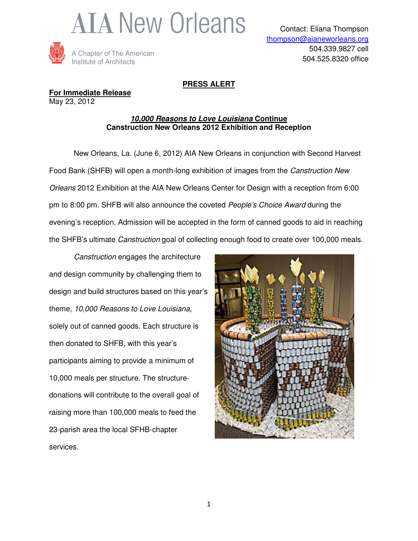



## **PRESS ALERT**

**For Immediate Release** May 23, 2012

#### **10,000 Reasons to Love Louisiana Continue Canstruction New Orleans 2012 Exhibition and Reception**

 New Orleans, La. (June 6, 2012) AIA New Orleans in conjunction with Second Harvest Food Bank (SHFB) will open a month-long exhibition of images from the Canstruction New Orleans 2012 Exhibition at the AIA New Orleans Center for Design with a reception from 6:00 pm to 8:00 pm. SHFB will also announce the coveted People's Choice Award during the evening's reception. Admission will be accepted in the form of canned goods to aid in reaching the SHFB's ultimate Canstruction goal of collecting enough food to create over 100,000 meals.

Canstruction engages the architecture and design community by challenging them to design and build structures based on this year's theme, 10,000 Reasons to Love Louisiana, solely out of canned goods. Each structure is then donated to SHFB, with this year's participants aiming to provide a minimum of 10,000 meals per structure. The structuredonations will contribute to the overall goal of raising more than 100,000 meals to feed the 23-parish area the local SFHB-chapter services.